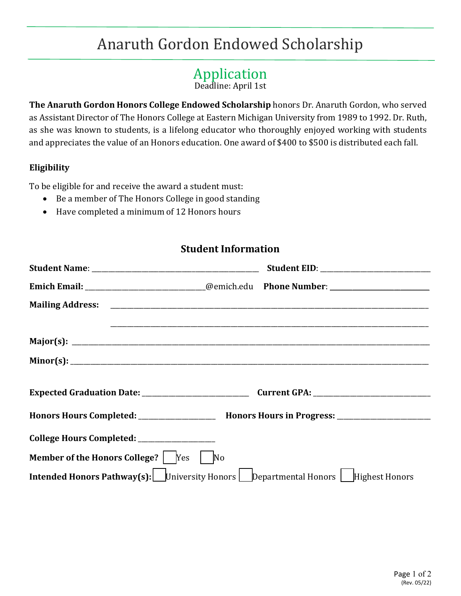## Anaruth Gordon Endowed Scholarship

# Application

Deadline: April 1st

**The Anaruth Gordon Honors College Endowed Scholarship** honors Dr. Anaruth Gordon, who served as Assistant Director of The Honors College at Eastern Michigan University from 1989 to 1992. Dr. Ruth, as she was known to students, is a lifelong educator who thoroughly enjoyed working with students and appreciates the value of an Honors education. One award of \$400 to \$500 is distributed each fall.

#### **Eligibility**

To be eligible for and receive the award a student must:

- Be a member of The Honors College in good standing
- Have completed a minimum of 12 Honors hours

#### **Student Information**

| Emich Email: __________________________@emich.edu Phone Number: ________________         |                                                                                                                      |
|------------------------------------------------------------------------------------------|----------------------------------------------------------------------------------------------------------------------|
|                                                                                          |                                                                                                                      |
|                                                                                          | <u> 1989 - Jan James James James James James James James James James James James James James James James James J</u> |
| Major(s): $\qquad \qquad$                                                                |                                                                                                                      |
|                                                                                          |                                                                                                                      |
|                                                                                          |                                                                                                                      |
|                                                                                          |                                                                                                                      |
| Honors Hours Completed: ___________________ Honors Hours in Progress: __________________ |                                                                                                                      |
|                                                                                          |                                                                                                                      |
|                                                                                          |                                                                                                                      |
| Intended Honors Pathway(s): University Honors Departmental Honors Highest Honors         |                                                                                                                      |